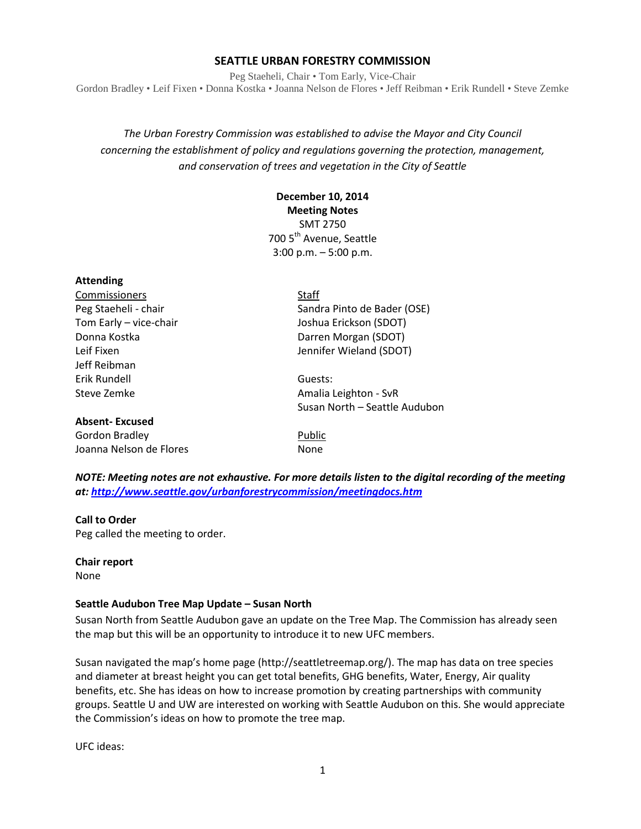### **SEATTLE URBAN FORESTRY COMMISSION**

Peg Staeheli, Chair • Tom Early, Vice-Chair Gordon Bradley • Leif Fixen • Donna Kostka • Joanna Nelson de Flores • Jeff Reibman • Erik Rundell • Steve Zemke

*The Urban Forestry Commission was established to advise the Mayor and City Council concerning the establishment of policy and regulations governing the protection, management, and conservation of trees and vegetation in the City of Seattle*

# **December 10, 2014 Meeting Notes** SMT 2750 700 5<sup>th</sup> Avenue, Seattle 3:00 p.m. – 5:00 p.m.

# **Attending**

| Commissioners          | <b>Staff</b>                  |
|------------------------|-------------------------------|
| Peg Staeheli - chair   | Sandra Pinto de Bader (OSE)   |
| Tom Early - vice-chair | Joshua Erickson (SDOT)        |
| Donna Kostka           | Darren Morgan (SDOT)          |
| Leif Fixen             | Jennifer Wieland (SDOT)       |
| Jeff Reibman           |                               |
| Erik Rundell           | Guests:                       |
| Steve Zemke            | Amalia Leighton - SvR         |
|                        | Susan North - Seattle Audubon |
| <b>Absent-Excused</b>  |                               |
| Gordon Bradley         | Public                        |

Joanna Nelson de Flores **None** 

*NOTE: Meeting notes are not exhaustive. For more details listen to the digital recording of the meeting at:<http://www.seattle.gov/urbanforestrycommission/meetingdocs.htm>*

#### **Call to Order**

Peg called the meeting to order.

**Chair report**

None

### **Seattle Audubon Tree Map Update – Susan North**

Susan North from Seattle Audubon gave an update on the Tree Map. The Commission has already seen the map but this will be an opportunity to introduce it to new UFC members.

Susan navigated the map's home page (http://seattletreemap.org/). The map has data on tree species and diameter at breast height you can get total benefits, GHG benefits, Water, Energy, Air quality benefits, etc. She has ideas on how to increase promotion by creating partnerships with community groups. Seattle U and UW are interested on working with Seattle Audubon on this. She would appreciate the Commission's ideas on how to promote the tree map.

UFC ideas: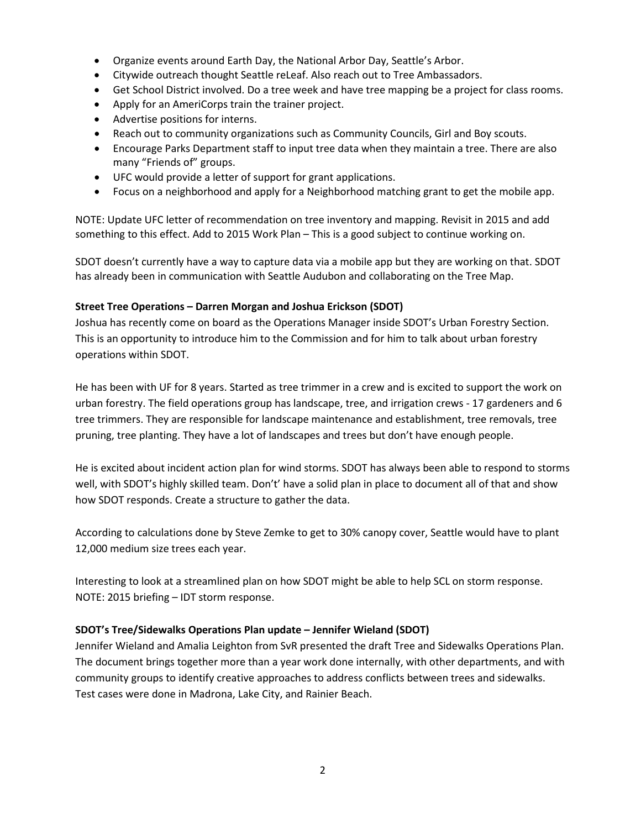- Organize events around Earth Day, the National Arbor Day, Seattle's Arbor.
- Citywide outreach thought Seattle reLeaf. Also reach out to Tree Ambassadors.
- Get School District involved. Do a tree week and have tree mapping be a project for class rooms.
- Apply for an AmeriCorps train the trainer project.
- Advertise positions for interns.
- Reach out to community organizations such as Community Councils, Girl and Boy scouts.
- Encourage Parks Department staff to input tree data when they maintain a tree. There are also many "Friends of" groups.
- UFC would provide a letter of support for grant applications.
- Focus on a neighborhood and apply for a Neighborhood matching grant to get the mobile app.

NOTE: Update UFC letter of recommendation on tree inventory and mapping. Revisit in 2015 and add something to this effect. Add to 2015 Work Plan – This is a good subject to continue working on.

SDOT doesn't currently have a way to capture data via a mobile app but they are working on that. SDOT has already been in communication with Seattle Audubon and collaborating on the Tree Map.

### **Street Tree Operations – Darren Morgan and Joshua Erickson (SDOT)**

Joshua has recently come on board as the Operations Manager inside SDOT's Urban Forestry Section. This is an opportunity to introduce him to the Commission and for him to talk about urban forestry operations within SDOT.

He has been with UF for 8 years. Started as tree trimmer in a crew and is excited to support the work on urban forestry. The field operations group has landscape, tree, and irrigation crews - 17 gardeners and 6 tree trimmers. They are responsible for landscape maintenance and establishment, tree removals, tree pruning, tree planting. They have a lot of landscapes and trees but don't have enough people.

He is excited about incident action plan for wind storms. SDOT has always been able to respond to storms well, with SDOT's highly skilled team. Don't' have a solid plan in place to document all of that and show how SDOT responds. Create a structure to gather the data.

According to calculations done by Steve Zemke to get to 30% canopy cover, Seattle would have to plant 12,000 medium size trees each year.

Interesting to look at a streamlined plan on how SDOT might be able to help SCL on storm response. NOTE: 2015 briefing – IDT storm response.

## **SDOT's Tree/Sidewalks Operations Plan update – Jennifer Wieland (SDOT)**

Jennifer Wieland and Amalia Leighton from SvR presented the draft Tree and Sidewalks Operations Plan. The document brings together more than a year work done internally, with other departments, and with community groups to identify creative approaches to address conflicts between trees and sidewalks. Test cases were done in Madrona, Lake City, and Rainier Beach.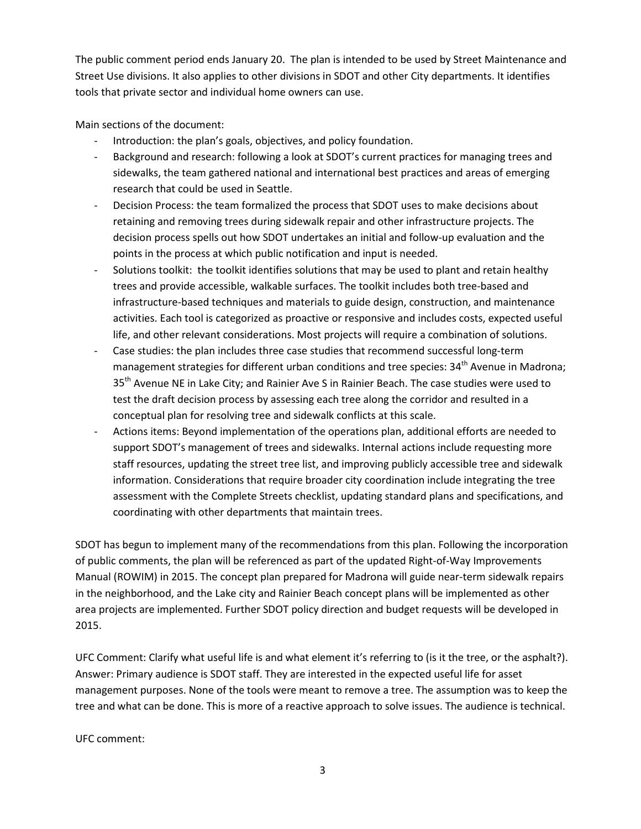The public comment period ends January 20. The plan is intended to be used by Street Maintenance and Street Use divisions. It also applies to other divisions in SDOT and other City departments. It identifies tools that private sector and individual home owners can use.

Main sections of the document:

- Introduction: the plan's goals, objectives, and policy foundation.
- Background and research: following a look at SDOT's current practices for managing trees and sidewalks, the team gathered national and international best practices and areas of emerging research that could be used in Seattle.
- Decision Process: the team formalized the process that SDOT uses to make decisions about retaining and removing trees during sidewalk repair and other infrastructure projects. The decision process spells out how SDOT undertakes an initial and follow-up evaluation and the points in the process at which public notification and input is needed.
- Solutions toolkit: the toolkit identifies solutions that may be used to plant and retain healthy trees and provide accessible, walkable surfaces. The toolkit includes both tree-based and infrastructure-based techniques and materials to guide design, construction, and maintenance activities. Each tool is categorized as proactive or responsive and includes costs, expected useful life, and other relevant considerations. Most projects will require a combination of solutions.
- Case studies: the plan includes three case studies that recommend successful long-term management strategies for different urban conditions and tree species: 34<sup>th</sup> Avenue in Madrona; 35<sup>th</sup> Avenue NE in Lake City; and Rainier Ave S in Rainier Beach. The case studies were used to test the draft decision process by assessing each tree along the corridor and resulted in a conceptual plan for resolving tree and sidewalk conflicts at this scale.
- Actions items: Beyond implementation of the operations plan, additional efforts are needed to support SDOT's management of trees and sidewalks. Internal actions include requesting more staff resources, updating the street tree list, and improving publicly accessible tree and sidewalk information. Considerations that require broader city coordination include integrating the tree assessment with the Complete Streets checklist, updating standard plans and specifications, and coordinating with other departments that maintain trees.

SDOT has begun to implement many of the recommendations from this plan. Following the incorporation of public comments, the plan will be referenced as part of the updated Right-of-Way Improvements Manual (ROWIM) in 2015. The concept plan prepared for Madrona will guide near-term sidewalk repairs in the neighborhood, and the Lake city and Rainier Beach concept plans will be implemented as other area projects are implemented. Further SDOT policy direction and budget requests will be developed in 2015.

UFC Comment: Clarify what useful life is and what element it's referring to (is it the tree, or the asphalt?). Answer: Primary audience is SDOT staff. They are interested in the expected useful life for asset management purposes. None of the tools were meant to remove a tree. The assumption was to keep the tree and what can be done. This is more of a reactive approach to solve issues. The audience is technical.

UFC comment: